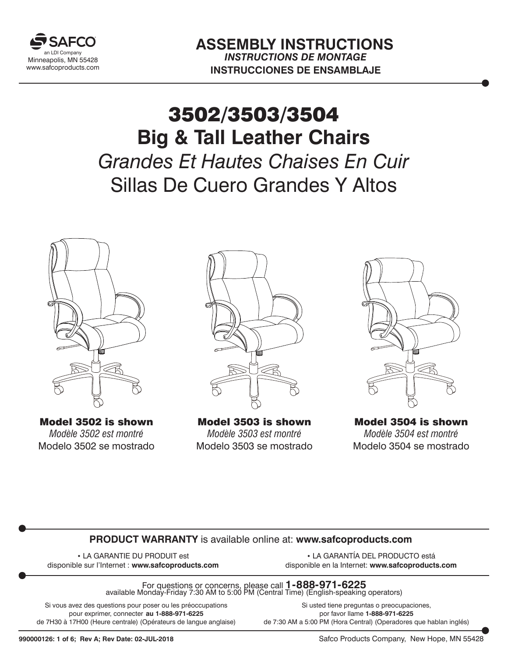

## **Big & Tall Leather Chairs** *Grandes Et Hautes Chaises En Cuir* Sillas De Cuero Grandes Y Altos 3502/3503/3504



Model 3502 is shown *Modèle 3502 est montré* Modelo 3502 se mostrado



Model 3503 is shown *Modèle 3503 est montré* Modelo 3503 se mostrado



Model 3504 is shown *Modèle 3504 est montré* Modelo 3504 se mostrado

#### **PRODUCT WARRANTY** is available online at: **www.safcoproducts.com**

• LA GARANTIE DU PRODUIT est disponible sur l'Internet : **www.safcoproducts.com**

• LA GARANTÍA DEL PRODUCTO está disponible en la Internet: **www.safcoproducts.com**

For questions or concerns, please call **1-888-971-6225** available Monday-Friday 7:30 AM to 5:00 PM (Central Time) (English-speaking operators)

Si vous avez des questions pour poser ou les préoccupations pour exprimer, connecter **au 1-888-971-6225** de 7H30 à 17H00 (Heure centrale) (Opérateurs de langue anglaise)

Si usted tiene preguntas o preocupaciones, por favor llame **1-888-971-6225** de 7:30 AM a 5:00 PM (Hora Central) (Operadores que hablan inglés)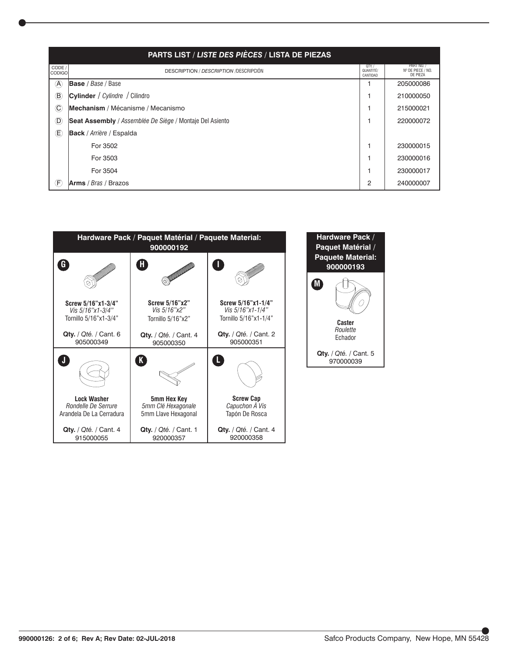| PARTS LIST / LISTE DES PIÈCES / LISTA DE PIEZAS |                                                          |                               |                                             |
|-------------------------------------------------|----------------------------------------------------------|-------------------------------|---------------------------------------------|
| CODE /<br> CODIGO                               | <b>DESCRIPTION / DESCRIPTION / DESCRIPCIÓN</b>           | QTY.<br>QUANTITÉ/<br>CANTIDAD | PART NO. /<br>Nº DE PIECE / NO.<br>DE PIEZA |
| $^{\circledR}$                                  | <b>Base</b> / Base / Base                                |                               | 205000086                                   |
| $^\circledR$                                    | Cylinder / Cylindre / Cilindro                           |                               | 210000050                                   |
| $^\copyright$                                   | Mechanism / Mécanisme / Mecanismo                        |                               | 215000021                                   |
| $^{\circledR}$                                  | Seat Assembly / Assemblée De Siège / Montaje Del Asiento |                               | 220000072                                   |
| $\circled$                                      | <b>Back</b> / <i>Arrière</i> / Espalda                   |                               |                                             |
|                                                 | For 3502                                                 |                               | 230000015                                   |
|                                                 | For 3503                                                 |                               | 230000016                                   |
|                                                 | For 3504                                                 |                               | 230000017                                   |
| Œ.                                              | <b>Arms</b> / $Bras$ / Brazos                            | $\overline{2}$                | 240000007                                   |

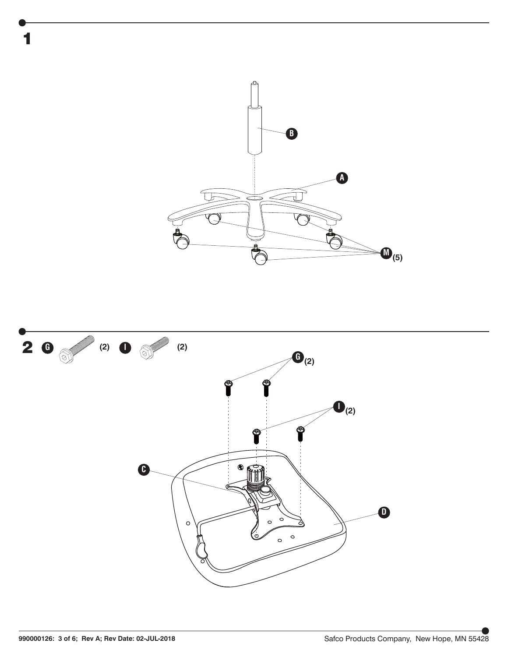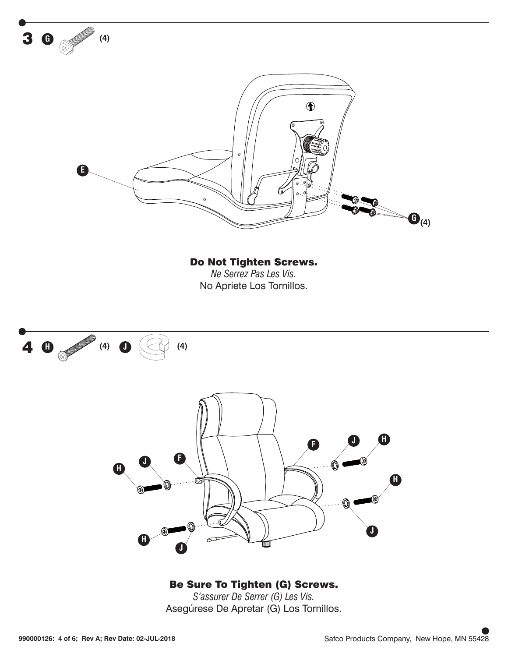

#### Be Sure To Tighten (G) Screws.

*S'assurer De Serrer (G) Les Vis.* Asegúrese De Apretar (G) Los Tornillos.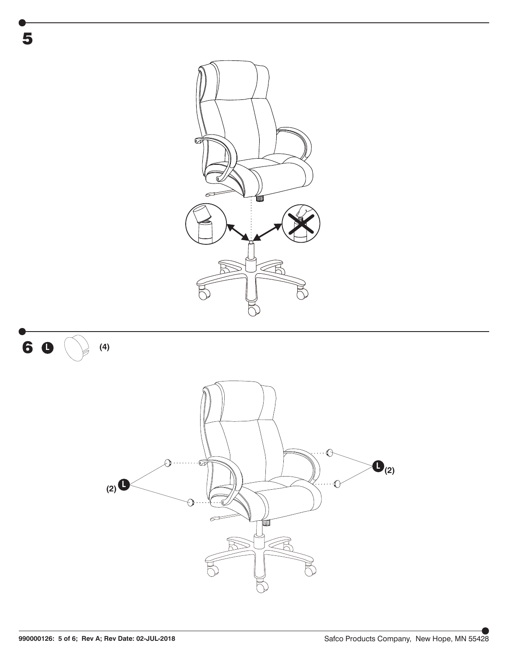